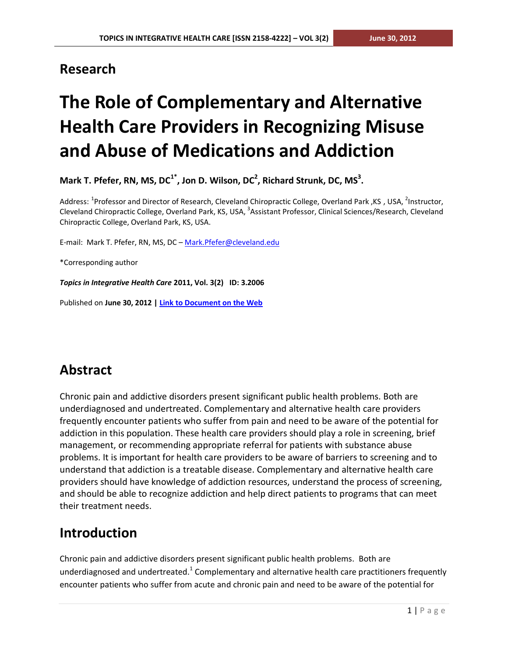## **Research**

# **The Role of Complementary and Alternative Health Care Providers in Recognizing Misuse and Abuse of Medications and Addiction**

**Mark T. Pfefer, RN, MS, DC1\* , Jon D. Wilson, DC 2 , Richard Strunk, DC, MS 3 .**

Address: <sup>1</sup>Professor and Director of Research, Cleveland Chiropractic College, Overland Park ,KS , USA, <sup>2</sup>Instructor, Cleveland Chiropractic College, Overland Park, KS, USA, <sup>3</sup>Assistant Professor, Clinical Sciences/Research, Cleveland Chiropractic College, Overland Park, KS, USA.

E-mail: Mark T. Pfefer, RN, MS, DC - [Mark.Pfefer@cleveland.edu](mailto:Mark.Pfefer@cleveland.edu)

\*Corresponding author

*Topics in Integrative Health Care* **2011, Vol. 3(2) ID: 3.2006**

Published on **June 30, 2012 [| Link to Document on the Web](http://www.tihcij.com/Articles/The-Role-of-Complementary-and-Alternative-Health-Care-Providers-in-Recognizing-Misuse-and-Abuse-of-Medications-and-Addiction.aspx?id=0000358)**

# **Abstract**

Chronic pain and addictive disorders present significant public health problems. Both are underdiagnosed and undertreated. Complementary and alternative health care providers frequently encounter patients who suffer from pain and need to be aware of the potential for addiction in this population. These health care providers should play a role in screening, brief management, or recommending appropriate referral for patients with substance abuse problems. It is important for health care providers to be aware of barriers to screening and to understand that addiction is a treatable disease. Complementary and alternative health care providers should have knowledge of addiction resources, understand the process of screening, and should be able to recognize addiction and help direct patients to programs that can meet their treatment needs.

# **Introduction**

Chronic pain and addictive disorders present significant public health problems. Both are underdiagnosed and undertreated.<sup>1</sup> Complementary and alternative health care practitioners frequently encounter patients who suffer from acute and chronic pain and need to be aware of the potential for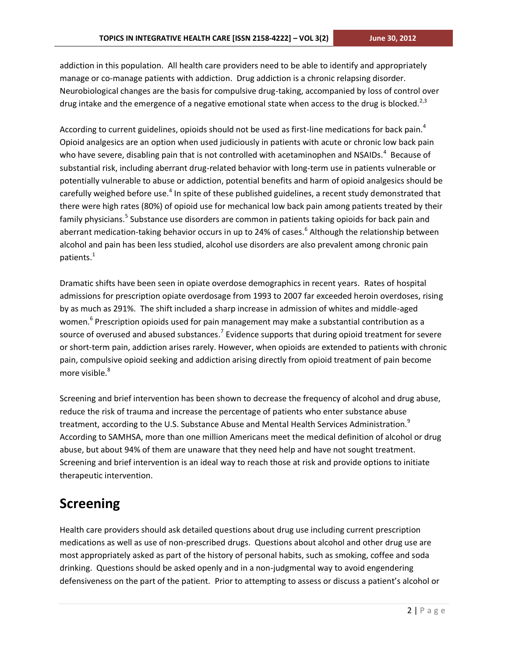addiction in this population. All health care providers need to be able to identify and appropriately manage or co-manage patients with addiction. Drug addiction is a chronic relapsing disorder. Neurobiological changes are the basis for compulsive drug-taking, accompanied by loss of control over drug intake and the emergence of a negative emotional state when access to the drug is blocked.<sup>2,3</sup>

According to current guidelines, opioids should not be used as first-line medications for back pain.<sup>4</sup> Opioid analgesics are an option when used judiciously in patients with acute or chronic low back pain who have severe, disabling pain that is not controlled with acetaminophen and NSAIDs.<sup>4</sup> Because of substantial risk, including aberrant drug-related behavior with long-term use in patients vulnerable or potentially vulnerable to abuse or addiction, potential benefits and harm of opioid analgesics should be carefully weighed before use.<sup>4</sup> In spite of these published guidelines, a recent study demonstrated that there were high rates (80%) of opioid use for mechanical low back pain among patients treated by their family physicians.<sup>5</sup> Substance use disorders are common in patients taking opioids for back pain and aberrant medication-taking behavior occurs in up to 24% of cases.<sup>6</sup> Although the relationship between alcohol and pain has been less studied, alcohol use disorders are also prevalent among chronic pain patients.<sup>1</sup>

Dramatic shifts have been seen in opiate overdose demographics in recent years. Rates of hospital admissions for prescription opiate overdosage from 1993 to 2007 far exceeded heroin overdoses, rising by as much as 291%. The shift included a sharp increase in admission of whites and middle-aged women.<sup>6</sup> Prescription opioids used for pain management may make a substantial contribution as a source of overused and abused substances.<sup>7</sup> Evidence supports that during opioid treatment for severe or short-term pain, addiction arises rarely. However, when opioids are extended to patients with chronic pain, compulsive opioid seeking and addiction arising directly from opioid treatment of pain become more visible.<sup>8</sup>

Screening and brief intervention has been shown to decrease the frequency of alcohol and drug abuse, reduce the risk of trauma and increase the percentage of patients who enter substance abuse treatment, according to the U.S. Substance Abuse and Mental Health Services Administration.<sup>9</sup> According to SAMHSA, more than one million Americans meet the medical definition of alcohol or drug abuse, but about 94% of them are unaware that they need help and have not sought treatment. Screening and brief intervention is an ideal way to reach those at risk and provide options to initiate therapeutic intervention.

# **Screening**

Health care providers should ask detailed questions about drug use including current prescription medications as well as use of non-prescribed drugs. Questions about alcohol and other drug use are most appropriately asked as part of the history of personal habits, such as smoking, coffee and soda drinking. Questions should be asked openly and in a non-judgmental way to avoid engendering defensiveness on the part of the patient. Prior to attempting to assess or discuss a patient's alcohol or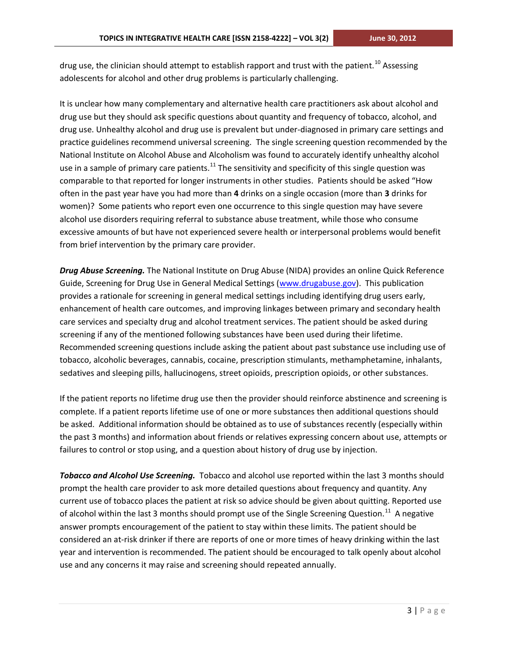drug use, the clinician should attempt to establish rapport and trust with the patient.<sup>10</sup> Assessing adolescents for alcohol and other drug problems is particularly challenging.

It is unclear how many complementary and alternative health care practitioners ask about alcohol and drug use but they should ask specific questions about quantity and frequency of tobacco, alcohol, and drug use. Unhealthy alcohol and drug use is prevalent but under-diagnosed in primary care settings and practice guidelines recommend universal screening. The single screening question recommended by the National Institute on Alcohol Abuse and Alcoholism was found to accurately identify unhealthy alcohol use in a sample of primary care patients.<sup>11</sup> The sensitivity and specificity of this single question was comparable to that reported for longer instruments in other studies. Patients should be asked "How often in the past year have you had more than **4** drinks on a single occasion (more than **3** drinks for women)? Some patients who report even one occurrence to this single question may have severe alcohol use disorders requiring referral to substance abuse treatment, while those who consume excessive amounts of but have not experienced severe health or interpersonal problems would benefit from brief intervention by the primary care provider.

*Drug Abuse Screening.* The National Institute on Drug Abuse (NIDA) provides an online Quick Reference Guide, Screening for Drug Use in General Medical Settings [\(www.drugabuse.gov\)](http://www.drugabuse.gov/). This publication provides a rationale for screening in general medical settings including identifying drug users early, enhancement of health care outcomes, and improving linkages between primary and secondary health care services and specialty drug and alcohol treatment services. The patient should be asked during screening if any of the mentioned following substances have been used during their lifetime. Recommended screening questions include asking the patient about past substance use including use of tobacco, alcoholic beverages, cannabis, cocaine, prescription stimulants, methamphetamine, inhalants, sedatives and sleeping pills, hallucinogens, street opioids, prescription opioids, or other substances.

If the patient reports no lifetime drug use then the provider should reinforce abstinence and screening is complete. If a patient reports lifetime use of one or more substances then additional questions should be asked. Additional information should be obtained as to use of substances recently (especially within the past 3 months) and information about friends or relatives expressing concern about use, attempts or failures to control or stop using, and a question about history of drug use by injection.

*Tobacco and Alcohol Use Screening.* Tobacco and alcohol use reported within the last 3 months should prompt the health care provider to ask more detailed questions about frequency and quantity. Any current use of tobacco places the patient at risk so advice should be given about quitting. Reported use of alcohol within the last 3 months should prompt use of the Single Screening Question.<sup>11</sup> A negative answer prompts encouragement of the patient to stay within these limits. The patient should be considered an at-risk drinker if there are reports of one or more times of heavy drinking within the last year and intervention is recommended. The patient should be encouraged to talk openly about alcohol use and any concerns it may raise and screening should repeated annually.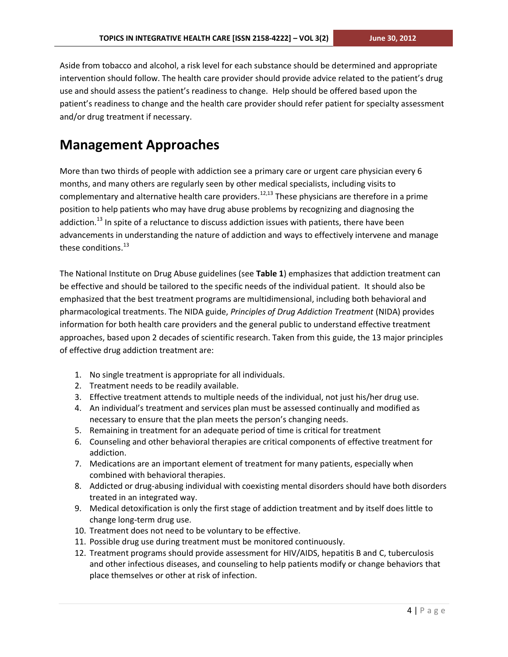Aside from tobacco and alcohol, a risk level for each substance should be determined and appropriate intervention should follow. The health care provider should provide advice related to the patient's drug use and should assess the patient's readiness to change. Help should be offered based upon the patient's readiness to change and the health care provider should refer patient for specialty assessment and/or drug treatment if necessary.

# **Management Approaches**

More than two thirds of people with addiction see a primary care or urgent care physician every 6 months, and many others are regularly seen by other medical specialists, including visits to complementary and alternative health care providers.<sup>12,13</sup> These physicians are therefore in a prime position to help patients who may have drug abuse problems by recognizing and diagnosing the addiction.<sup>13</sup> In spite of a reluctance to discuss addiction issues with patients, there have been advancements in understanding the nature of addiction and ways to effectively intervene and manage these conditions.<sup>13</sup>

The National Institute on Drug Abuse guidelines (see **Table 1**) emphasizes that addiction treatment can be effective and should be tailored to the specific needs of the individual patient. It should also be emphasized that the best treatment programs are multidimensional, including both behavioral and pharmacological treatments. The NIDA guide, *Principles of Drug Addiction Treatment* (NIDA) provides information for both health care providers and the general public to understand effective treatment approaches, based upon 2 decades of scientific research. Taken from this guide, the 13 major principles of effective drug addiction treatment are:

- 1. No single treatment is appropriate for all individuals.
- 2. Treatment needs to be readily available.
- 3. Effective treatment attends to multiple needs of the individual, not just his/her drug use.
- 4. An individual's treatment and services plan must be assessed continually and modified as necessary to ensure that the plan meets the person's changing needs.
- 5. Remaining in treatment for an adequate period of time is critical for treatment
- 6. Counseling and other behavioral therapies are critical components of effective treatment for addiction.
- 7. Medications are an important element of treatment for many patients, especially when combined with behavioral therapies.
- 8. Addicted or drug-abusing individual with coexisting mental disorders should have both disorders treated in an integrated way.
- 9. Medical detoxification is only the first stage of addiction treatment and by itself does little to change long-term drug use.
- 10. Treatment does not need to be voluntary to be effective.
- 11. Possible drug use during treatment must be monitored continuously.
- 12. Treatment programs should provide assessment for HIV/AIDS, hepatitis B and C, tuberculosis and other infectious diseases, and counseling to help patients modify or change behaviors that place themselves or other at risk of infection.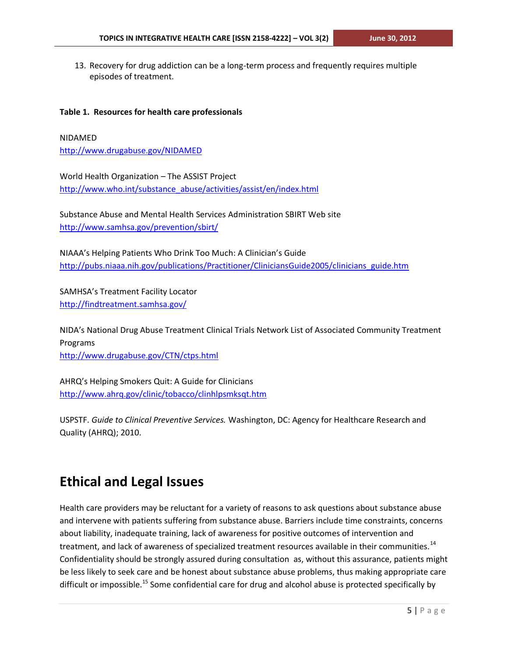13. Recovery for drug addiction can be a long-term process and frequently requires multiple episodes of treatment.

#### **Table 1. Resources for health care professionals**

#### NIDAMED

<http://www.drugabuse.gov/NIDAMED>

World Health Organization – The ASSIST Project [http://www.who.int/substance\\_abuse/activities/assist/en/index.html](http://www.who.int/substance_abuse/activities/assist/en/index.html)

Substance Abuse and Mental Health Services Administration SBIRT Web site <http://www.samhsa.gov/prevention/sbirt/>

NIAAA's Helping Patients Who Drink Too Much: A Clinician's Guide [http://pubs.niaaa.nih.gov/publications/Practitioner/CliniciansGuide2005/clinicians\\_guide.htm](http://pubs.niaaa.nih.gov/publications/Practitioner/CliniciansGuide2005/clinicians_guide.htm)

SAMHSA's Treatment Facility Locator <http://findtreatment.samhsa.gov/>

NIDA's National Drug Abuse Treatment Clinical Trials Network List of Associated Community Treatment Programs <http://www.drugabuse.gov/CTN/ctps.html>

AHRQ's Helping Smokers Quit: A Guide for Clinicians <http://www.ahrq.gov/clinic/tobacco/clinhlpsmksqt.htm>

USPSTF. *Guide to Clinical Preventive Services.* Washington, DC: Agency for Healthcare Research and Quality (AHRQ); 2010.

### **Ethical and Legal Issues**

Health care providers may be reluctant for a variety of reasons to ask questions about substance abuse and intervene with patients suffering from substance abuse. Barriers include time constraints, concerns about liability, inadequate training, lack of awareness for positive outcomes of intervention and treatment, and lack of awareness of specialized treatment resources available in their communities.<sup>14</sup> Confidentiality should be strongly assured during consultation as, without this assurance, patients might be less likely to seek care and be honest about substance abuse problems, thus making appropriate care difficult or impossible.<sup>15</sup> Some confidential care for drug and alcohol abuse is protected specifically by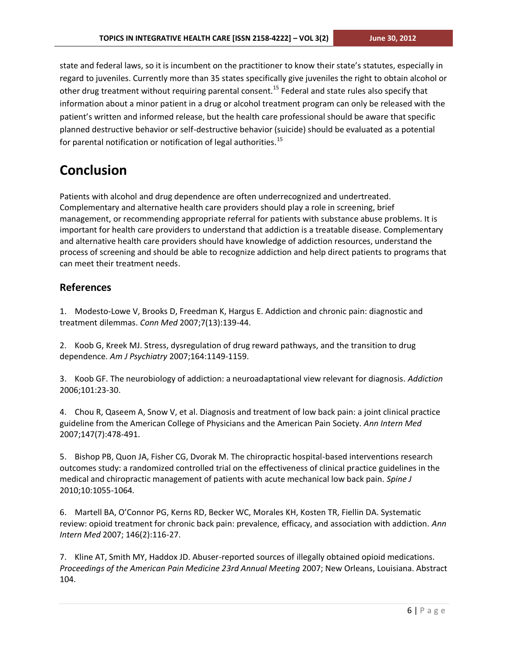state and federal laws, so it is incumbent on the practitioner to know their state's statutes, especially in regard to juveniles. Currently more than 35 states specifically give juveniles the right to obtain alcohol or other drug treatment without requiring parental consent.<sup>15</sup> Federal and state rules also specify that information about a minor patient in a drug or alcohol treatment program can only be released with the patient's written and informed release, but the health care professional should be aware that specific planned destructive behavior or self-destructive behavior (suicide) should be evaluated as a potential for parental notification or notification of legal authorities. $^{15}$ 

# **Conclusion**

Patients with alcohol and drug dependence are often underrecognized and undertreated. Complementary and alternative health care providers should play a role in screening, brief management, or recommending appropriate referral for patients with substance abuse problems. It is important for health care providers to understand that addiction is a treatable disease. Complementary and alternative health care providers should have knowledge of addiction resources, understand the process of screening and should be able to recognize addiction and help direct patients to programs that can meet their treatment needs.

#### **References**

1. Modesto-Lowe V, Brooks D, Freedman K, Hargus E. Addiction and chronic pain: diagnostic and treatment dilemmas. *Conn Med* 2007;7(13):139-44.

2. Koob G, Kreek MJ. Stress, dysregulation of drug reward pathways, and the transition to drug dependence. *Am J Psychiatry* 2007;164:1149-1159.

3. Koob GF. The neurobiology of addiction: a neuroadaptational view relevant for diagnosis. *Addiction* 2006;101:23-30.

4. Chou R, Qaseem A, Snow V, et al. Diagnosis and treatment of low back pain: a joint clinical practice guideline from the American College of Physicians and the American Pain Society. *Ann Intern Med* 2007;147(7):478-491.

5. Bishop PB, Quon JA, Fisher CG, Dvorak M. The chiropractic hospital-based interventions research outcomes study: a randomized controlled trial on the effectiveness of clinical practice guidelines in the medical and chiropractic management of patients with acute mechanical low back pain. *Spine J* 2010;10:1055-1064.

6. Martell BA, O'Connor PG, Kerns RD, Becker WC, Morales KH, Kosten TR, Fiellin DA. Systematic review: opioid treatment for chronic back pain: prevalence, efficacy, and association with addiction. *Ann Intern Med* 2007; 146(2):116-27.

7. Kline AT, Smith MY, Haddox JD. Abuser-reported sources of illegally obtained opioid medications. *Proceedings of the American Pain Medicine 23rd Annual Meeting* 2007; New Orleans, Louisiana. Abstract 104.